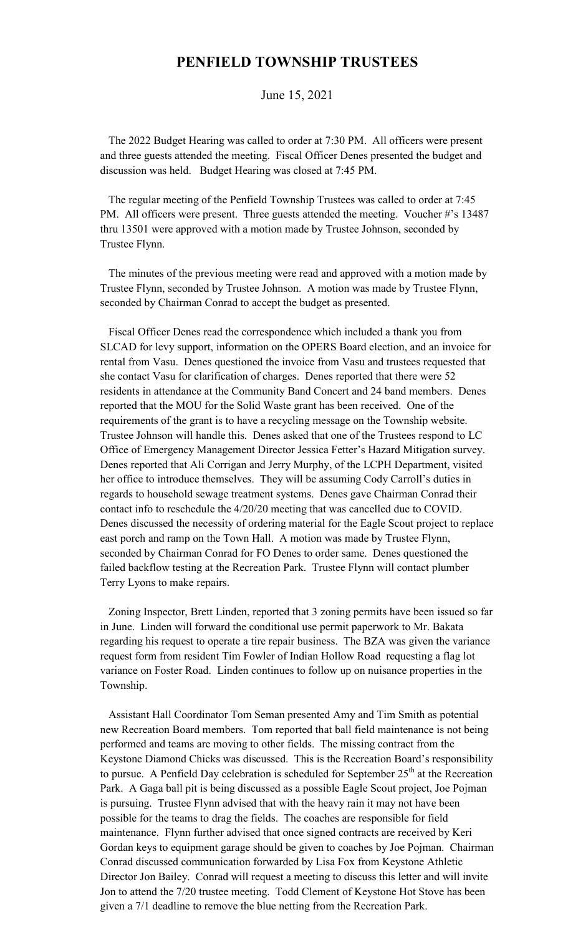## **PENFIELD TOWNSHIP TRUSTEES**

June 15, 2021

 The 2022 Budget Hearing was called to order at 7:30 PM. All officers were present and three guests attended the meeting. Fiscal Officer Denes presented the budget and discussion was held. Budget Hearing was closed at 7:45 PM.

 The regular meeting of the Penfield Township Trustees was called to order at 7:45 PM. All officers were present. Three guests attended the meeting. Voucher #'s 13487 thru 13501 were approved with a motion made by Trustee Johnson, seconded by Trustee Flynn.

 The minutes of the previous meeting were read and approved with a motion made by Trustee Flynn, seconded by Trustee Johnson. A motion was made by Trustee Flynn, seconded by Chairman Conrad to accept the budget as presented.

 Fiscal Officer Denes read the correspondence which included a thank you from SLCAD for levy support, information on the OPERS Board election, and an invoice for rental from Vasu. Denes questioned the invoice from Vasu and trustees requested that she contact Vasu for clarification of charges. Denes reported that there were 52 residents in attendance at the Community Band Concert and 24 band members. Denes reported that the MOU for the Solid Waste grant has been received. One of the requirements of the grant is to have a recycling message on the Township website. Trustee Johnson will handle this. Denes asked that one of the Trustees respond to LC Office of Emergency Management Director Jessica Fetter's Hazard Mitigation survey. Denes reported that Ali Corrigan and Jerry Murphy, of the LCPH Department, visited her office to introduce themselves. They will be assuming Cody Carroll's duties in regards to household sewage treatment systems. Denes gave Chairman Conrad their contact info to reschedule the 4/20/20 meeting that was cancelled due to COVID. Denes discussed the necessity of ordering material for the Eagle Scout project to replace east porch and ramp on the Town Hall. A motion was made by Trustee Flynn, seconded by Chairman Conrad for FO Denes to order same. Denes questioned the failed backflow testing at the Recreation Park. Trustee Flynn will contact plumber Terry Lyons to make repairs.

 Zoning Inspector, Brett Linden, reported that 3 zoning permits have been issued so far in June. Linden will forward the conditional use permit paperwork to Mr. Bakata regarding his request to operate a tire repair business. The BZA was given the variance request form from resident Tim Fowler of Indian Hollow Road requesting a flag lot variance on Foster Road. Linden continues to follow up on nuisance properties in the Township.

 Assistant Hall Coordinator Tom Seman presented Amy and Tim Smith as potential new Recreation Board members. Tom reported that ball field maintenance is not being performed and teams are moving to other fields. The missing contract from the Keystone Diamond Chicks was discussed. This is the Recreation Board's responsibility to pursue. A Penfield Day celebration is scheduled for September  $25<sup>th</sup>$  at the Recreation Park. A Gaga ball pit is being discussed as a possible Eagle Scout project, Joe Pojman is pursuing. Trustee Flynn advised that with the heavy rain it may not have been possible for the teams to drag the fields. The coaches are responsible for field maintenance. Flynn further advised that once signed contracts are received by Keri Gordan keys to equipment garage should be given to coaches by Joe Pojman. Chairman Conrad discussed communication forwarded by Lisa Fox from Keystone Athletic Director Jon Bailey. Conrad will request a meeting to discuss this letter and will invite Jon to attend the 7/20 trustee meeting. Todd Clement of Keystone Hot Stove has been given a 7/1 deadline to remove the blue netting from the Recreation Park.